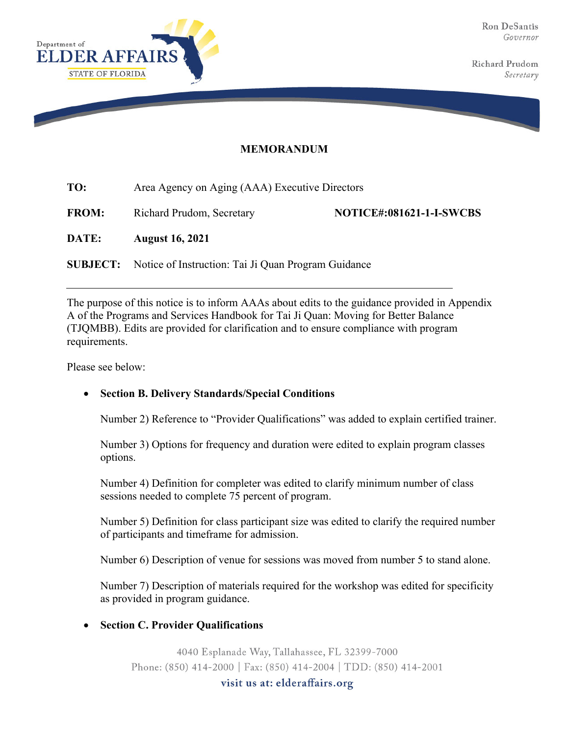

**Richard Prudom** Secretary

## **MEMORANDUM**

| TO:          | Area Agency on Aging (AAA) Executive Directors                      |                                 |
|--------------|---------------------------------------------------------------------|---------------------------------|
| <b>FROM:</b> | Richard Prudom, Secretary                                           | <b>NOTICE#:081621-1-I-SWCBS</b> |
| DATE:        | <b>August 16, 2021</b>                                              |                                 |
|              | <b>SUBJECT:</b> Notice of Instruction: Tai Ji Quan Program Guidance |                                 |

The purpose of this notice is to inform AAAs about edits to the guidance provided in Appendix A of the Programs and Services Handbook for Tai Ji Quan: Moving for Better Balance (TJQMBB). Edits are provided for clarification and to ensure compliance with program requirements.

Please see below:

## **Section B. Delivery Standards/Special Conditions**

Number 2) Reference to "Provider Qualifications" was added to explain certified trainer.

Number 3) Options for frequency and duration were edited to explain program classes options.

Number 4) Definition for completer was edited to clarify minimum number of class sessions needed to complete 75 percent of program.

Number 5) Definition for class participant size was edited to clarify the required number of participants and timeframe for admission.

Number 6) Description of venue for sessions was moved from number 5 to stand alone.

Number 7) Description of materials required for the workshop was edited for specificity as provided in program guidance.

## **Section C. Provider Qualifications**

4040 Esplanade Way, Tallahassee, FL 32399-7000 Phone: (850) 414-2000 | Fax: (850) 414-2004 | TDD: (850) 414-2001

visit us at: elderaffairs.org